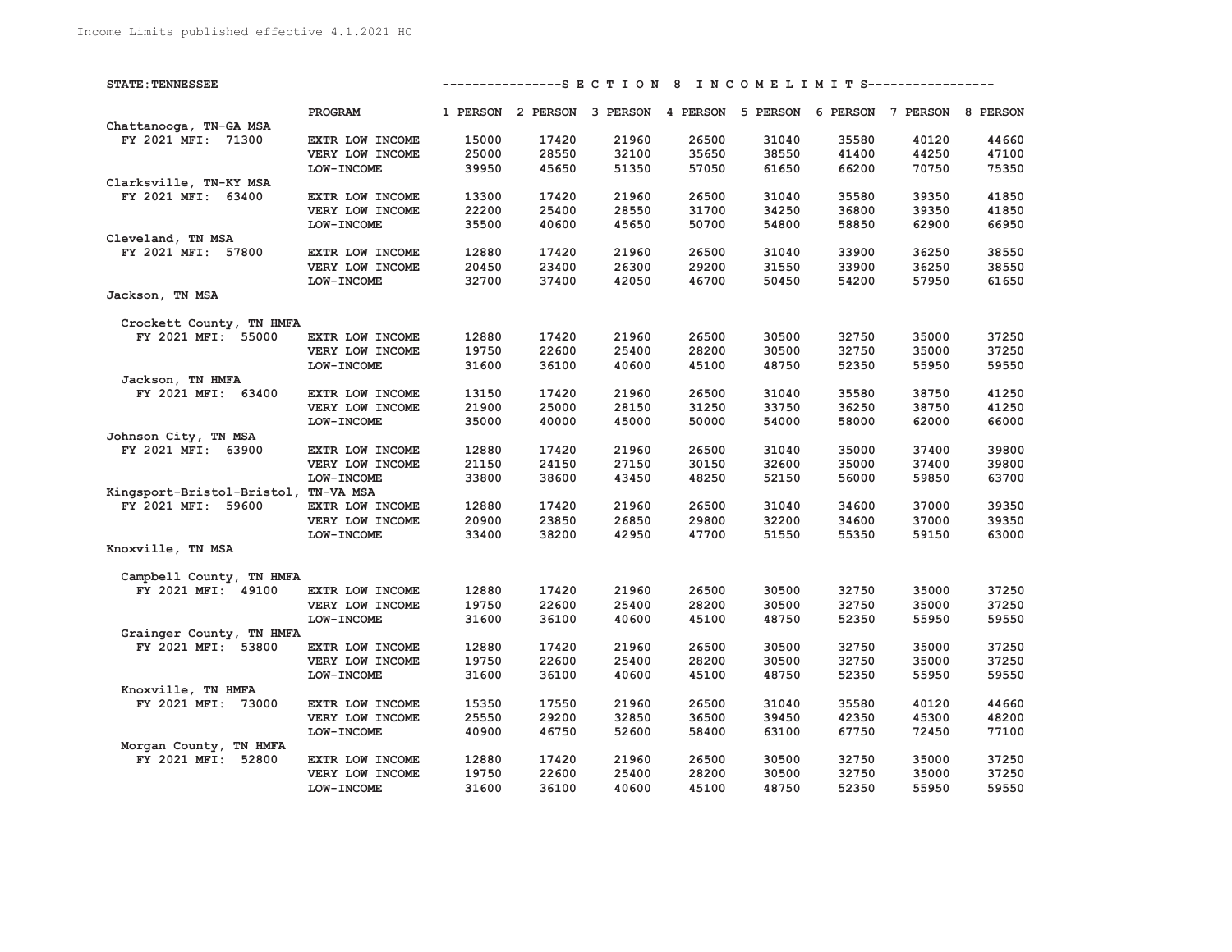| <b>STATE: TENNESSEE</b>              |                   | ---------------S E C T I O N 8 I N C O M E L I M I T S----------------- |                                                                         |       |       |       |       |       |       |  |
|--------------------------------------|-------------------|-------------------------------------------------------------------------|-------------------------------------------------------------------------|-------|-------|-------|-------|-------|-------|--|
|                                      | PROGRAM           |                                                                         | 1 PERSON 2 PERSON 3 PERSON 4 PERSON 5 PERSON 6 PERSON 7 PERSON 8 PERSON |       |       |       |       |       |       |  |
| Chattanooga, TN-GA MSA               |                   |                                                                         |                                                                         |       |       |       |       |       |       |  |
| FY 2021 MFI: 71300                   | EXTR LOW INCOME   | 15000                                                                   | 17420                                                                   | 21960 | 26500 | 31040 | 35580 | 40120 | 44660 |  |
|                                      | VERY LOW INCOME   | 25000                                                                   | 28550                                                                   | 32100 | 35650 | 38550 | 41400 | 44250 | 47100 |  |
|                                      | LOW-INCOME        | 39950                                                                   | 45650                                                                   | 51350 | 57050 | 61650 | 66200 | 70750 | 75350 |  |
| Clarksville, TN-KY MSA               |                   |                                                                         |                                                                         |       |       |       |       |       |       |  |
| FY 2021 MFI: 63400                   | EXTR LOW INCOME   | 13300                                                                   | 17420                                                                   | 21960 | 26500 | 31040 | 35580 | 39350 | 41850 |  |
|                                      | VERY LOW INCOME   | 22200                                                                   | 25400                                                                   | 28550 | 31700 | 34250 | 36800 | 39350 | 41850 |  |
|                                      | LOW-INCOME        | 35500                                                                   | 40600                                                                   | 45650 | 50700 | 54800 | 58850 | 62900 | 66950 |  |
| Cleveland, TN MSA                    |                   |                                                                         |                                                                         |       |       |       |       |       |       |  |
|                                      |                   |                                                                         |                                                                         |       |       |       |       |       | 38550 |  |
| FY 2021 MFI: 57800                   | EXTR LOW INCOME   | 12880                                                                   | 17420                                                                   | 21960 | 26500 | 31040 | 33900 | 36250 |       |  |
|                                      | VERY LOW INCOME   | 20450                                                                   | 23400                                                                   | 26300 | 29200 | 31550 | 33900 | 36250 | 38550 |  |
|                                      | LOW-INCOME        | 32700                                                                   | 37400                                                                   | 42050 | 46700 | 50450 | 54200 | 57950 | 61650 |  |
| Jackson, TN MSA                      |                   |                                                                         |                                                                         |       |       |       |       |       |       |  |
| Crockett County, TN HMFA             |                   |                                                                         |                                                                         |       |       |       |       |       |       |  |
| FY 2021 MFI: 55000                   | EXTR LOW INCOME   | 12880                                                                   | 17420                                                                   | 21960 | 26500 | 30500 | 32750 | 35000 | 37250 |  |
|                                      | VERY LOW INCOME   | 19750                                                                   | 22600                                                                   | 25400 | 28200 | 30500 | 32750 | 35000 | 37250 |  |
|                                      | <b>LOW-INCOME</b> | 31600                                                                   | 36100                                                                   | 40600 | 45100 | 48750 | 52350 | 55950 | 59550 |  |
| Jackson, TN HMFA                     |                   |                                                                         |                                                                         |       |       |       |       |       |       |  |
| FY 2021 MFI: 63400                   | EXTR LOW INCOME   | 13150                                                                   | 17420                                                                   | 21960 | 26500 | 31040 | 35580 | 38750 | 41250 |  |
|                                      | VERY LOW INCOME   | 21900                                                                   | 25000                                                                   | 28150 | 31250 | 33750 | 36250 | 38750 | 41250 |  |
|                                      | LOW-INCOME        | 35000                                                                   | 40000                                                                   | 45000 | 50000 | 54000 | 58000 | 62000 | 66000 |  |
| Johnson City, TN MSA                 |                   |                                                                         |                                                                         |       |       |       |       |       |       |  |
| FY 2021 MFI: 63900                   | EXTR LOW INCOME   | 12880                                                                   | 17420                                                                   | 21960 | 26500 | 31040 | 35000 | 37400 | 39800 |  |
|                                      | VERY LOW INCOME   | 21150                                                                   | 24150                                                                   | 27150 | 30150 | 32600 | 35000 | 37400 | 39800 |  |
|                                      |                   | 33800                                                                   | 38600                                                                   | 43450 | 48250 |       |       | 59850 | 63700 |  |
|                                      | <b>LOW-INCOME</b> |                                                                         |                                                                         |       |       | 52150 | 56000 |       |       |  |
| Kingsport-Bristol-Bristol, TN-VA MSA |                   |                                                                         |                                                                         |       |       |       |       |       |       |  |
| FY 2021 MFI: 59600                   | EXTR LOW INCOME   | 12880                                                                   | 17420                                                                   | 21960 | 26500 | 31040 | 34600 | 37000 | 39350 |  |
|                                      | VERY LOW INCOME   | 20900                                                                   | 23850                                                                   | 26850 | 29800 | 32200 | 34600 | 37000 | 39350 |  |
|                                      | <b>LOW-INCOME</b> | 33400                                                                   | 38200                                                                   | 42950 | 47700 | 51550 | 55350 | 59150 | 63000 |  |
| Knoxville, TN MSA                    |                   |                                                                         |                                                                         |       |       |       |       |       |       |  |
| Campbell County, TN HMFA             |                   |                                                                         |                                                                         |       |       |       |       |       |       |  |
| FY 2021 MFI: 49100                   | EXTR LOW INCOME   | 12880                                                                   | 17420                                                                   | 21960 | 26500 | 30500 | 32750 | 35000 | 37250 |  |
|                                      | VERY LOW INCOME   | 19750                                                                   | 22600                                                                   | 25400 | 28200 | 30500 | 32750 | 35000 | 37250 |  |
|                                      | LOW-INCOME        | 31600                                                                   | 36100                                                                   | 40600 | 45100 | 48750 | 52350 | 55950 | 59550 |  |
| Grainger County, TN HMFA             |                   |                                                                         |                                                                         |       |       |       |       |       |       |  |
| FY 2021 MFI: 53800                   | EXTR LOW INCOME   | 12880                                                                   | 17420                                                                   | 21960 | 26500 | 30500 | 32750 | 35000 | 37250 |  |
|                                      | VERY LOW INCOME   | 19750                                                                   | 22600                                                                   | 25400 | 28200 | 30500 | 32750 | 35000 | 37250 |  |
|                                      | LOW-INCOME        | 31600                                                                   | 36100                                                                   | 40600 | 45100 | 48750 | 52350 | 55950 | 59550 |  |
| Knoxville, TN HMFA                   |                   |                                                                         |                                                                         |       |       |       |       |       |       |  |
| FY 2021 MFI: 73000                   | EXTR LOW INCOME   | 15350                                                                   | 17550                                                                   | 21960 | 26500 | 31040 | 35580 | 40120 | 44660 |  |
|                                      | VERY LOW INCOME   | 25550                                                                   | 29200                                                                   | 32850 | 36500 | 39450 | 42350 | 45300 | 48200 |  |
|                                      |                   | 40900                                                                   | 46750                                                                   | 52600 | 58400 | 63100 | 67750 | 72450 | 77100 |  |
|                                      | LOW-INCOME        |                                                                         |                                                                         |       |       |       |       |       |       |  |
| Morgan County, TN HMFA               |                   |                                                                         |                                                                         |       |       |       |       |       |       |  |
| FY 2021 MFI: 52800                   | EXTR LOW INCOME   | 12880                                                                   | 17420                                                                   | 21960 | 26500 | 30500 | 32750 | 35000 | 37250 |  |
|                                      | VERY LOW INCOME   | 19750                                                                   | 22600                                                                   | 25400 | 28200 | 30500 | 32750 | 35000 | 37250 |  |
|                                      | LOW-INCOME        | 31600                                                                   | 36100                                                                   | 40600 | 45100 | 48750 | 52350 | 55950 | 59550 |  |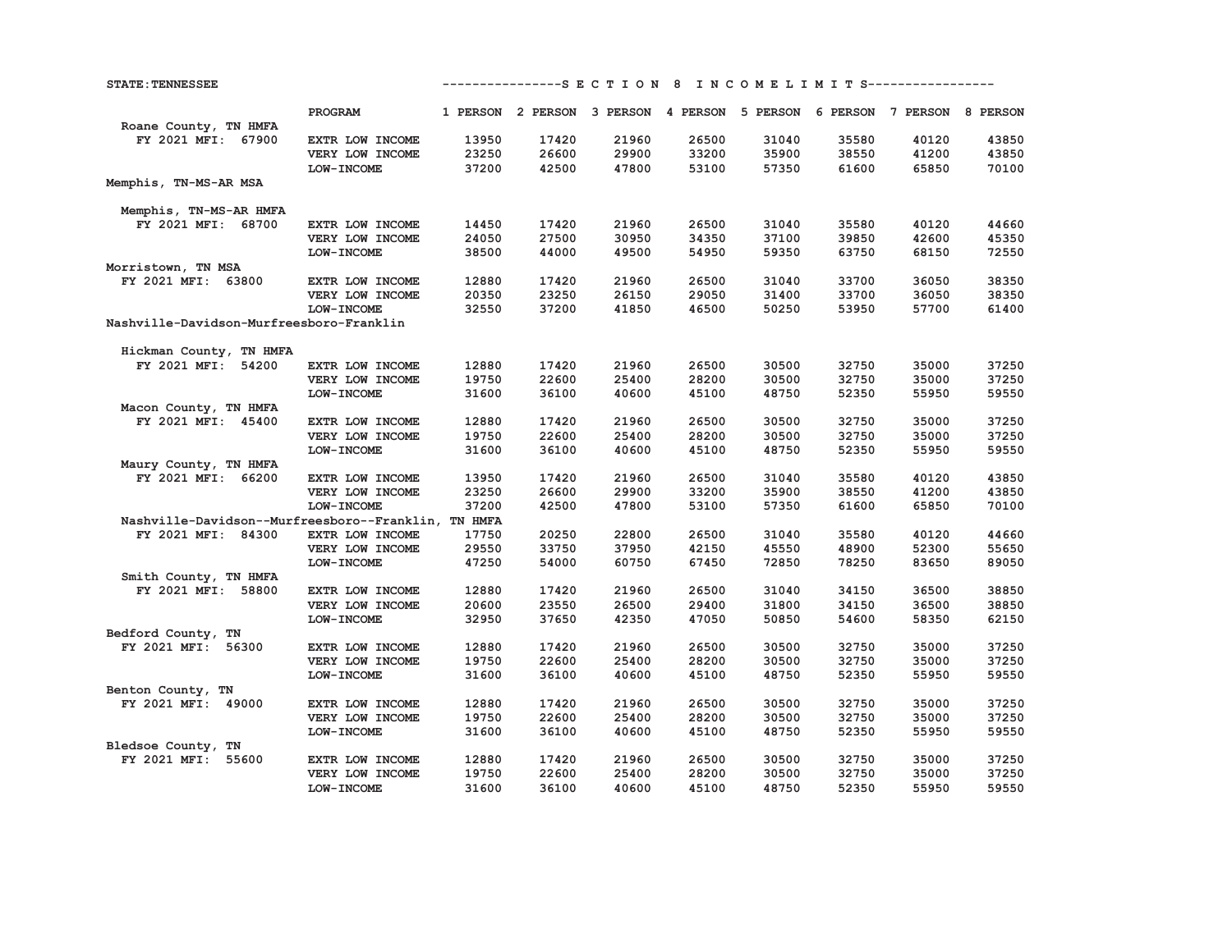**STATE:TENNESSEE ----------------S E C T I O N 8 I N C O M E L I M I T S-----------------** 

|                                                     | PROGRAM                       |       |       |       |       |       | 1 PERSON 2 PERSON 3 PERSON 4 PERSON 5 PERSON 6 PERSON 7 PERSON 8 PERSON |       |       |
|-----------------------------------------------------|-------------------------------|-------|-------|-------|-------|-------|-------------------------------------------------------------------------|-------|-------|
| Roane County, TN HMFA<br>FY 2021 MFI: 67900         |                               | 13950 | 17420 | 21960 | 26500 | 31040 | 35580                                                                   | 40120 | 43850 |
|                                                     | EXTR LOW INCOME               | 23250 | 26600 | 29900 | 33200 | 35900 | 38550                                                                   | 41200 | 43850 |
|                                                     | VERY LOW INCOME<br>LOW-INCOME | 37200 | 42500 | 47800 | 53100 |       | 61600                                                                   |       | 70100 |
|                                                     |                               |       |       |       |       | 57350 |                                                                         | 65850 |       |
| Memphis, TN-MS-AR MSA                               |                               |       |       |       |       |       |                                                                         |       |       |
| Memphis, TN-MS-AR HMFA                              |                               |       |       |       |       |       |                                                                         |       |       |
| FY 2021 MFI: 68700                                  | EXTR LOW INCOME               | 14450 | 17420 | 21960 | 26500 | 31040 | 35580                                                                   | 40120 | 44660 |
|                                                     | VERY LOW INCOME               | 24050 | 27500 | 30950 | 34350 | 37100 | 39850                                                                   | 42600 | 45350 |
|                                                     | LOW-INCOME                    | 38500 | 44000 | 49500 | 54950 | 59350 | 63750                                                                   | 68150 | 72550 |
| Morristown, TN MSA                                  |                               |       |       |       |       |       |                                                                         |       |       |
| FY 2021 MFI: 63800                                  | EXTR LOW INCOME               | 12880 | 17420 | 21960 | 26500 | 31040 | 33700                                                                   | 36050 | 38350 |
|                                                     | VERY LOW INCOME               | 20350 | 23250 | 26150 | 29050 | 31400 | 33700                                                                   | 36050 | 38350 |
|                                                     | <b>LOW-INCOME</b>             | 32550 | 37200 | 41850 | 46500 | 50250 | 53950                                                                   | 57700 | 61400 |
| Nashville-Davidson-Murfreesboro-Franklin            |                               |       |       |       |       |       |                                                                         |       |       |
|                                                     |                               |       |       |       |       |       |                                                                         |       |       |
| Hickman County, TN HMFA                             |                               |       |       |       |       |       |                                                                         |       |       |
| FY 2021 MFI: 54200                                  | EXTR LOW INCOME               | 12880 | 17420 | 21960 | 26500 | 30500 | 32750                                                                   | 35000 | 37250 |
|                                                     | VERY LOW INCOME               | 19750 | 22600 | 25400 | 28200 | 30500 | 32750                                                                   | 35000 | 37250 |
|                                                     | LOW-INCOME                    | 31600 | 36100 | 40600 | 45100 | 48750 | 52350                                                                   | 55950 | 59550 |
| Macon County, TN HMFA                               |                               |       |       |       |       |       |                                                                         |       |       |
| FY 2021 MFI: 45400                                  | EXTR LOW INCOME               | 12880 | 17420 | 21960 | 26500 | 30500 | 32750                                                                   | 35000 | 37250 |
|                                                     | VERY LOW INCOME               | 19750 | 22600 | 25400 | 28200 | 30500 | 32750                                                                   | 35000 | 37250 |
|                                                     | LOW-INCOME                    | 31600 | 36100 | 40600 | 45100 | 48750 | 52350                                                                   | 55950 | 59550 |
| Maury County, TN HMFA                               |                               |       |       |       |       |       |                                                                         |       |       |
| FY 2021 MFI: 66200                                  | EXTR LOW INCOME               | 13950 | 17420 | 21960 | 26500 | 31040 | 35580                                                                   | 40120 | 43850 |
|                                                     | VERY LOW INCOME               | 23250 | 26600 | 29900 | 33200 | 35900 | 38550                                                                   | 41200 | 43850 |
|                                                     | LOW-INCOME                    | 37200 | 42500 | 47800 | 53100 | 57350 | 61600                                                                   | 65850 | 70100 |
| Nashville-Davidson--Murfreesboro--Franklin, TN HMFA |                               |       |       |       |       |       |                                                                         |       |       |
| FY 2021 MFI: 84300                                  | EXTR LOW INCOME               | 17750 | 20250 | 22800 | 26500 | 31040 | 35580                                                                   | 40120 | 44660 |
|                                                     | VERY LOW INCOME               | 29550 | 33750 | 37950 | 42150 | 45550 | 48900                                                                   | 52300 | 55650 |
|                                                     | LOW-INCOME                    | 47250 | 54000 | 60750 | 67450 | 72850 | 78250                                                                   | 83650 | 89050 |
| Smith County, TN HMFA                               |                               |       |       |       |       |       |                                                                         |       |       |
| FY 2021 MFI: 58800                                  | EXTR LOW INCOME               | 12880 | 17420 | 21960 | 26500 | 31040 | 34150                                                                   | 36500 | 38850 |
|                                                     | VERY LOW INCOME               | 20600 | 23550 | 26500 | 29400 | 31800 | 34150                                                                   | 36500 | 38850 |
|                                                     | LOW-INCOME                    | 32950 | 37650 | 42350 | 47050 | 50850 | 54600                                                                   | 58350 | 62150 |
| Bedford County, TN                                  |                               |       |       |       |       |       |                                                                         |       |       |
| FY 2021 MFI: 56300                                  | EXTR LOW INCOME               | 12880 | 17420 | 21960 | 26500 | 30500 | 32750                                                                   | 35000 | 37250 |
|                                                     | VERY LOW INCOME               | 19750 | 22600 | 25400 | 28200 | 30500 | 32750                                                                   | 35000 | 37250 |
|                                                     | LOW-INCOME                    | 31600 | 36100 | 40600 | 45100 | 48750 | 52350                                                                   | 55950 | 59550 |
| Benton County, TN                                   |                               |       |       |       |       |       |                                                                         |       |       |
| FY 2021 MFI: 49000                                  | EXTR LOW INCOME               | 12880 | 17420 | 21960 | 26500 | 30500 | 32750                                                                   | 35000 | 37250 |
|                                                     | VERY LOW INCOME               | 19750 | 22600 | 25400 | 28200 | 30500 | 32750                                                                   | 35000 | 37250 |
|                                                     | LOW-INCOME                    | 31600 | 36100 | 40600 | 45100 | 48750 | 52350                                                                   | 55950 | 59550 |
| Bledsoe County, TN                                  |                               |       |       |       |       |       |                                                                         |       |       |
| FY 2021 MFI: 55600                                  | EXTR LOW INCOME               | 12880 | 17420 | 21960 | 26500 | 30500 | 32750                                                                   | 35000 | 37250 |
|                                                     | VERY LOW INCOME               | 19750 | 22600 | 25400 | 28200 | 30500 | 32750                                                                   | 35000 | 37250 |
|                                                     | LOW-INCOME                    | 31600 | 36100 | 40600 | 45100 | 48750 | 52350                                                                   | 55950 | 59550 |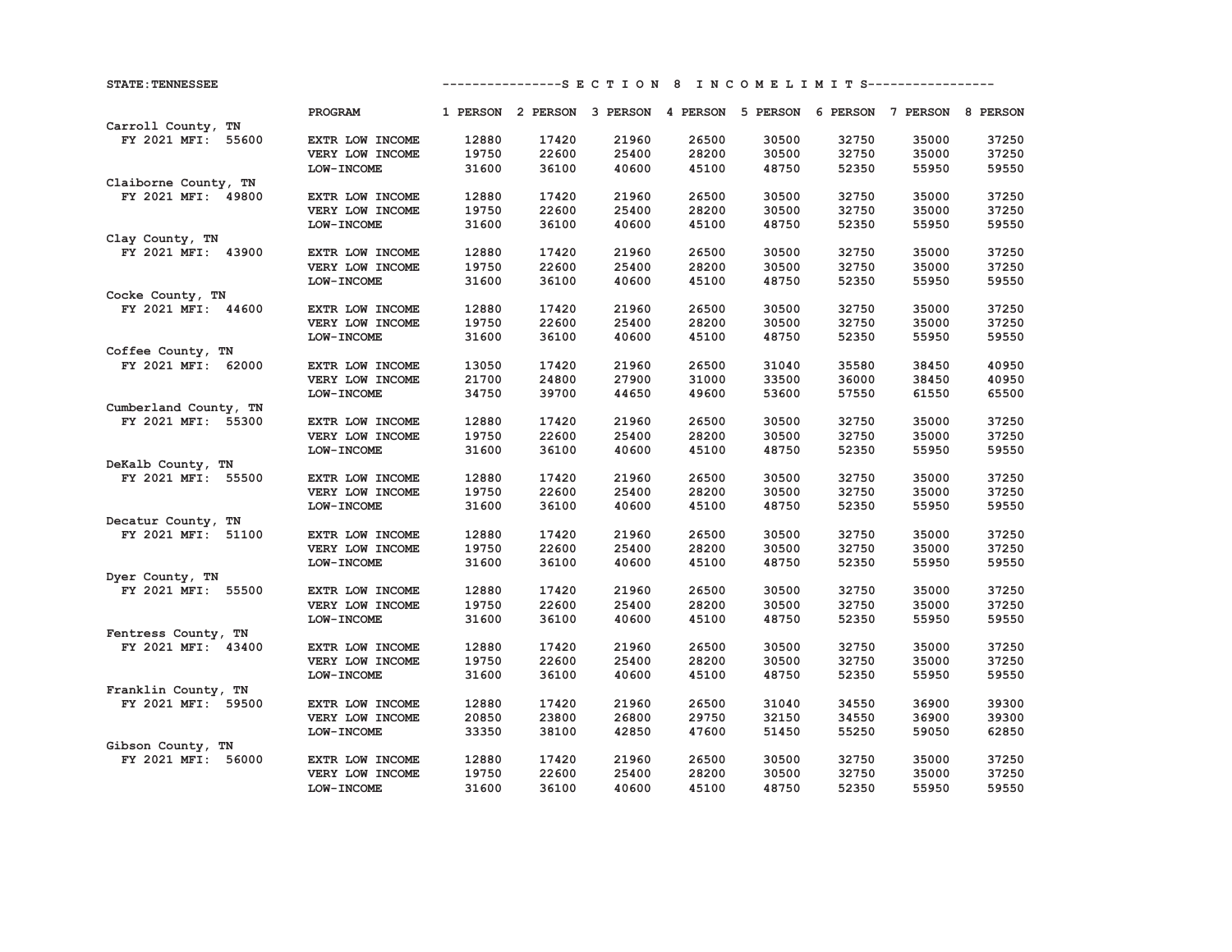| <b>STATE: TENNESSEE</b> |                   |       |       |       |       |       |       | ---------------S E C T I O N 8 I N C O M E L I M I T S----------------- |       |
|-------------------------|-------------------|-------|-------|-------|-------|-------|-------|-------------------------------------------------------------------------|-------|
|                         | PROGRAM           |       |       |       |       |       |       | 1 PERSON 2 PERSON 3 PERSON 4 PERSON 5 PERSON 6 PERSON 7 PERSON 8 PERSON |       |
| Carroll County, TN      |                   |       |       |       |       |       |       |                                                                         |       |
| FY 2021 MFI: 55600      | EXTR LOW INCOME   | 12880 | 17420 | 21960 | 26500 | 30500 | 32750 | 35000                                                                   | 37250 |
|                         | VERY LOW INCOME   | 19750 | 22600 | 25400 | 28200 | 30500 | 32750 | 35000                                                                   | 37250 |
|                         | <b>LOW-INCOME</b> | 31600 | 36100 | 40600 | 45100 | 48750 | 52350 | 55950                                                                   | 59550 |
| Claiborne County, TN    |                   |       |       |       |       |       |       |                                                                         |       |
| FY 2021 MFI: 49800      | EXTR LOW INCOME   | 12880 | 17420 | 21960 | 26500 | 30500 | 32750 | 35000                                                                   | 37250 |
|                         | VERY LOW INCOME   | 19750 | 22600 | 25400 | 28200 | 30500 | 32750 | 35000                                                                   | 37250 |
|                         | LOW-INCOME        | 31600 | 36100 | 40600 | 45100 | 48750 | 52350 | 55950                                                                   | 59550 |
| Clay County, TN         |                   |       |       |       |       |       |       |                                                                         |       |
| FY 2021 MFI: 43900      | EXTR LOW INCOME   | 12880 | 17420 | 21960 | 26500 | 30500 | 32750 | 35000                                                                   | 37250 |
|                         | VERY LOW INCOME   | 19750 | 22600 | 25400 | 28200 | 30500 | 32750 | 35000                                                                   | 37250 |
|                         | <b>LOW-INCOME</b> | 31600 | 36100 | 40600 | 45100 | 48750 | 52350 | 55950                                                                   | 59550 |
| Cocke County, TN        |                   |       |       |       |       |       |       |                                                                         |       |
| FY 2021 MFI: 44600      | EXTR LOW INCOME   | 12880 | 17420 | 21960 | 26500 | 30500 | 32750 | 35000                                                                   | 37250 |
|                         | VERY LOW INCOME   | 19750 | 22600 | 25400 | 28200 | 30500 | 32750 | 35000                                                                   | 37250 |
|                         | LOW-INCOME        | 31600 | 36100 | 40600 | 45100 | 48750 | 52350 | 55950                                                                   | 59550 |
| Coffee County, TN       |                   |       |       |       |       |       |       |                                                                         |       |
| FY 2021 MFI: 62000      | EXTR LOW INCOME   | 13050 | 17420 | 21960 | 26500 | 31040 | 35580 | 38450                                                                   | 40950 |
|                         | VERY LOW INCOME   | 21700 | 24800 | 27900 | 31000 | 33500 | 36000 | 38450                                                                   | 40950 |
|                         | LOW-INCOME        | 34750 | 39700 | 44650 | 49600 | 53600 | 57550 | 61550                                                                   | 65500 |
| Cumberland County, TN   |                   |       |       |       |       |       |       |                                                                         |       |
| FY 2021 MFI: 55300      | EXTR LOW INCOME   | 12880 | 17420 | 21960 | 26500 | 30500 | 32750 | 35000                                                                   | 37250 |
|                         | VERY LOW INCOME   | 19750 | 22600 | 25400 | 28200 | 30500 | 32750 | 35000                                                                   | 37250 |
|                         | LOW-INCOME        | 31600 | 36100 | 40600 | 45100 | 48750 | 52350 | 55950                                                                   | 59550 |
| DeKalb County, TN       |                   |       |       |       |       |       |       |                                                                         |       |
| FY 2021 MFI: 55500      | EXTR LOW INCOME   | 12880 | 17420 | 21960 | 26500 | 30500 | 32750 | 35000                                                                   | 37250 |
|                         | VERY LOW INCOME   | 19750 | 22600 | 25400 | 28200 | 30500 | 32750 | 35000                                                                   | 37250 |
|                         | LOW-INCOME        | 31600 | 36100 | 40600 | 45100 | 48750 | 52350 | 55950                                                                   | 59550 |
| Decatur County, TN      |                   |       |       |       |       |       |       |                                                                         |       |
| FY 2021 MFI: 51100      | EXTR LOW INCOME   | 12880 | 17420 | 21960 | 26500 | 30500 | 32750 | 35000                                                                   | 37250 |
|                         | VERY LOW INCOME   | 19750 | 22600 | 25400 | 28200 | 30500 | 32750 | 35000                                                                   | 37250 |
|                         | LOW-INCOME        | 31600 | 36100 | 40600 | 45100 | 48750 | 52350 | 55950                                                                   | 59550 |
| Dyer County, TN         |                   |       |       |       |       |       |       |                                                                         |       |
| FY 2021 MFI: 55500      | EXTR LOW INCOME   | 12880 | 17420 | 21960 | 26500 | 30500 | 32750 | 35000                                                                   | 37250 |
|                         | VERY LOW INCOME   | 19750 | 22600 | 25400 | 28200 | 30500 | 32750 | 35000                                                                   | 37250 |
|                         | LOW-INCOME        | 31600 | 36100 | 40600 | 45100 | 48750 | 52350 | 55950                                                                   | 59550 |
| Fentress County, TN     |                   |       |       |       |       |       |       |                                                                         |       |
| FY 2021 MFI: 43400      | EXTR LOW INCOME   | 12880 | 17420 | 21960 | 26500 | 30500 | 32750 | 35000                                                                   | 37250 |
|                         | VERY LOW INCOME   | 19750 | 22600 | 25400 | 28200 | 30500 | 32750 | 35000                                                                   | 37250 |
|                         | <b>LOW-INCOME</b> | 31600 | 36100 | 40600 | 45100 | 48750 | 52350 | 55950                                                                   | 59550 |
| Franklin County, TN     |                   |       |       |       |       |       |       |                                                                         |       |
| FY 2021 MFI: 59500      | EXTR LOW INCOME   | 12880 | 17420 | 21960 | 26500 | 31040 | 34550 | 36900                                                                   | 39300 |
|                         | VERY LOW INCOME   | 20850 | 23800 | 26800 | 29750 | 32150 | 34550 | 36900                                                                   | 39300 |
|                         | LOW-INCOME        | 33350 | 38100 | 42850 | 47600 | 51450 | 55250 | 59050                                                                   | 62850 |
| Gibson County, TN       |                   |       |       |       |       |       |       |                                                                         |       |
| FY 2021 MFI: 56000      | EXTR LOW INCOME   | 12880 | 17420 | 21960 | 26500 | 30500 | 32750 | 35000                                                                   | 37250 |
|                         | VERY LOW INCOME   | 19750 | 22600 | 25400 | 28200 | 30500 | 32750 | 35000                                                                   | 37250 |
|                         | LOW-INCOME        | 31600 | 36100 | 40600 | 45100 | 48750 | 52350 | 55950                                                                   | 59550 |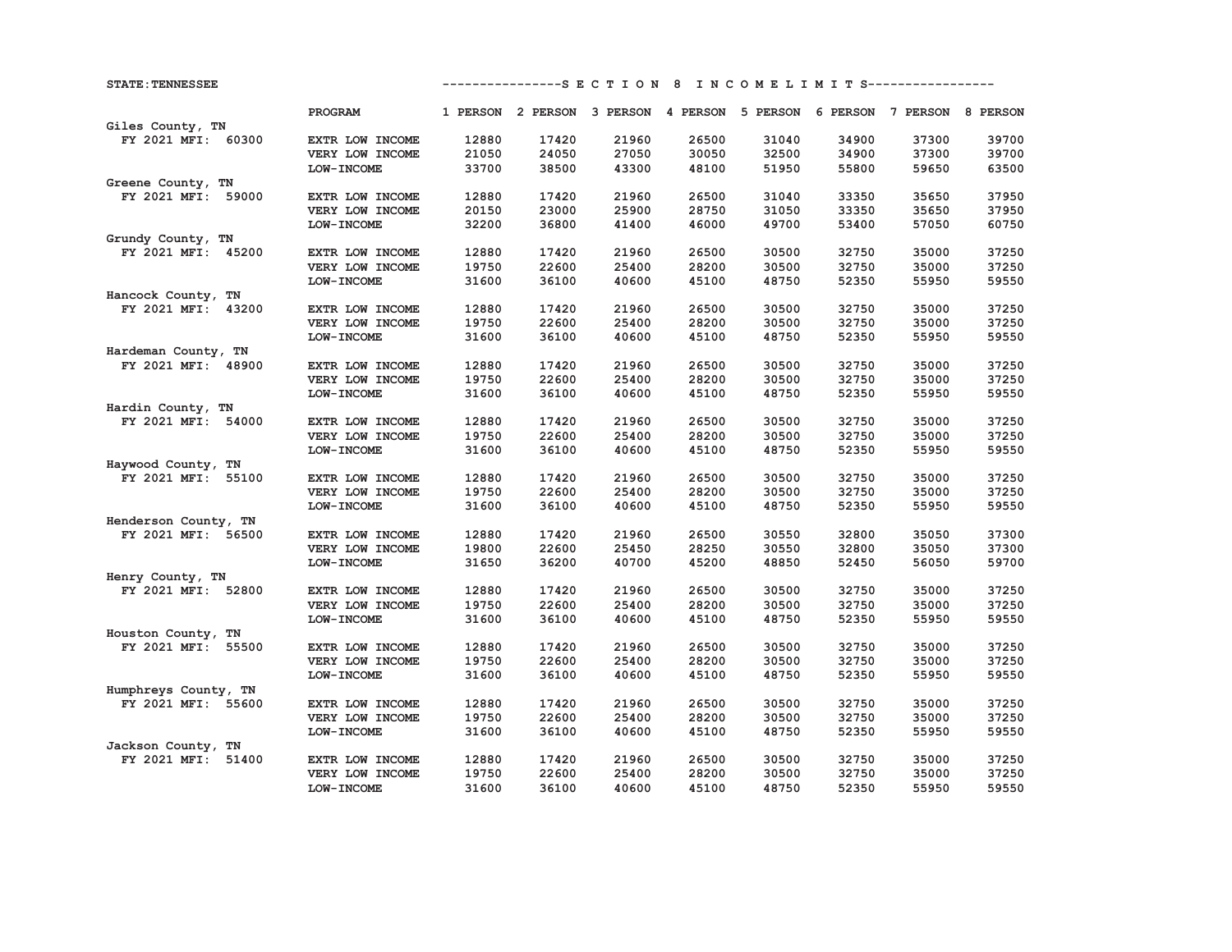| <b>STATE: TENNESSEE</b> |                                    |                |                | ---------------S E C T I O N 8 I N C O M E L I M I T S----------------- |       |                |       |                |       |
|-------------------------|------------------------------------|----------------|----------------|-------------------------------------------------------------------------|-------|----------------|-------|----------------|-------|
|                         | PROGRAM                            |                |                | 1 PERSON 2 PERSON 3 PERSON 4 PERSON 5 PERSON 6 PERSON 7 PERSON 8 PERSON |       |                |       |                |       |
| Giles County, TN        |                                    |                |                |                                                                         |       |                |       |                |       |
| FY 2021 MFI: 60300      | EXTR LOW INCOME                    | 12880          | 17420          | 21960                                                                   | 26500 | 31040          | 34900 | 37300          | 39700 |
|                         | VERY LOW INCOME                    | 21050          | 24050          | 27050                                                                   | 30050 | 32500          | 34900 | 37300          | 39700 |
|                         | LOW-INCOME                         | 33700          | 38500          | 43300                                                                   | 48100 | 51950          | 55800 | 59650          | 63500 |
| Greene County, TN       |                                    |                |                |                                                                         |       |                |       |                |       |
| FY 2021 MFI: 59000      | EXTR LOW INCOME                    | 12880          | 17420          | 21960                                                                   | 26500 | 31040          | 33350 | 35650          | 37950 |
|                         | VERY LOW INCOME                    | 20150          | 23000          | 25900                                                                   | 28750 | 31050          | 33350 | 35650          | 37950 |
|                         | LOW-INCOME                         | 32200          | 36800          | 41400                                                                   | 46000 | 49700          | 53400 | 57050          | 60750 |
| Grundy County, TN       |                                    |                |                |                                                                         |       |                |       |                |       |
| FY 2021 MFI: 45200      | EXTR LOW INCOME                    | 12880          | 17420          | 21960                                                                   | 26500 | 30500          | 32750 | 35000          | 37250 |
|                         | VERY LOW INCOME                    | 19750          | 22600          | 25400                                                                   | 28200 | 30500          | 32750 | 35000          | 37250 |
|                         | LOW-INCOME                         | 31600          | 36100          | 40600                                                                   | 45100 | 48750          | 52350 | 55950          | 59550 |
| Hancock County, TN      |                                    |                |                |                                                                         |       |                |       |                |       |
| FY 2021 MFI:<br>43200   | EXTR LOW INCOME                    | 12880          | 17420          | 21960                                                                   | 26500 | 30500          | 32750 | 35000          | 37250 |
|                         | VERY LOW INCOME                    | 19750          | 22600          | 25400                                                                   | 28200 | 30500          | 32750 | 35000          | 37250 |
|                         | LOW-INCOME                         | 31600          | 36100          | 40600                                                                   | 45100 | 48750          | 52350 | 55950          | 59550 |
| Hardeman County, TN     |                                    |                |                |                                                                         |       |                |       |                |       |
| FY 2021 MFI: 48900      | EXTR LOW INCOME                    | 12880          | 17420          | 21960                                                                   | 26500 | 30500          | 32750 | 35000          | 37250 |
|                         | VERY LOW INCOME                    | 19750          | 22600          | 25400                                                                   | 28200 | 30500          | 32750 | 35000          | 37250 |
|                         | LOW-INCOME                         | 31600          | 36100          | 40600                                                                   | 45100 | 48750          | 52350 | 55950          | 59550 |
| Hardin County, TN       |                                    |                |                |                                                                         |       |                |       |                |       |
| FY 2021 MFI: 54000      | EXTR LOW INCOME                    | 12880          | 17420          | 21960                                                                   | 26500 | 30500          | 32750 | 35000          | 37250 |
|                         | VERY LOW INCOME                    | 19750          | 22600          | 25400                                                                   | 28200 | 30500          | 32750 | 35000          | 37250 |
|                         | LOW-INCOME                         | 31600          | 36100          | 40600                                                                   | 45100 | 48750          | 52350 | 55950          | 59550 |
| Haywood County, TN      |                                    |                |                |                                                                         |       |                |       |                |       |
| FY 2021 MFI: 55100      | EXTR LOW INCOME                    | 12880          | 17420          | 21960                                                                   | 26500 | 30500          | 32750 | 35000          | 37250 |
|                         | VERY LOW INCOME                    | 19750          | 22600          | 25400                                                                   | 28200 | 30500          | 32750 | 35000          | 37250 |
|                         | LOW-INCOME                         | 31600          | 36100          | 40600                                                                   | 45100 | 48750          | 52350 | 55950          | 59550 |
| Henderson County, TN    |                                    |                |                | 21960                                                                   | 26500 |                | 32800 |                | 37300 |
| FY 2021 MFI: 56500      | EXTR LOW INCOME<br>VERY LOW INCOME | 12880<br>19800 | 17420<br>22600 | 25450                                                                   | 28250 | 30550<br>30550 | 32800 | 35050<br>35050 | 37300 |
|                         | LOW-INCOME                         | 31650          | 36200          | 40700                                                                   | 45200 | 48850          | 52450 | 56050          | 59700 |
| Henry County, TN        |                                    |                |                |                                                                         |       |                |       |                |       |
| FY 2021 MFI: 52800      | EXTR LOW INCOME                    | 12880          | 17420          | 21960                                                                   | 26500 | 30500          | 32750 | 35000          | 37250 |
|                         | VERY LOW INCOME                    | 19750          | 22600          | 25400                                                                   | 28200 | 30500          | 32750 | 35000          | 37250 |
|                         | LOW-INCOME                         | 31600          | 36100          | 40600                                                                   | 45100 | 48750          | 52350 | 55950          | 59550 |
| Houston County, TN      |                                    |                |                |                                                                         |       |                |       |                |       |
| FY 2021 MFI: 55500      | EXTR LOW INCOME                    | 12880          | 17420          | 21960                                                                   | 26500 | 30500          | 32750 | 35000          | 37250 |
|                         | VERY LOW INCOME                    | 19750          | 22600          | 25400                                                                   | 28200 | 30500          | 32750 | 35000          | 37250 |
|                         | LOW-INCOME                         | 31600          | 36100          | 40600                                                                   | 45100 | 48750          | 52350 | 55950          | 59550 |
| Humphreys County, TN    |                                    |                |                |                                                                         |       |                |       |                |       |
| FY 2021 MFI: 55600      | EXTR LOW INCOME                    | 12880          | 17420          | 21960                                                                   | 26500 | 30500          | 32750 | 35000          | 37250 |
|                         | VERY LOW INCOME                    | 19750          | 22600          | 25400                                                                   | 28200 | 30500          | 32750 | 35000          | 37250 |
|                         | LOW-INCOME                         | 31600          | 36100          | 40600                                                                   | 45100 | 48750          | 52350 | 55950          | 59550 |
| Jackson County, TN      |                                    |                |                |                                                                         |       |                |       |                |       |
| FY 2021 MFI: 51400      | EXTR LOW INCOME                    | 12880          | 17420          | 21960                                                                   | 26500 | 30500          | 32750 | 35000          | 37250 |
|                         | VERY LOW INCOME                    | 19750          | 22600          | 25400                                                                   | 28200 | 30500          | 32750 | 35000          | 37250 |
|                         | LOW-INCOME                         | 31600          | 36100          | 40600                                                                   | 45100 | 48750          | 52350 | 55950          | 59550 |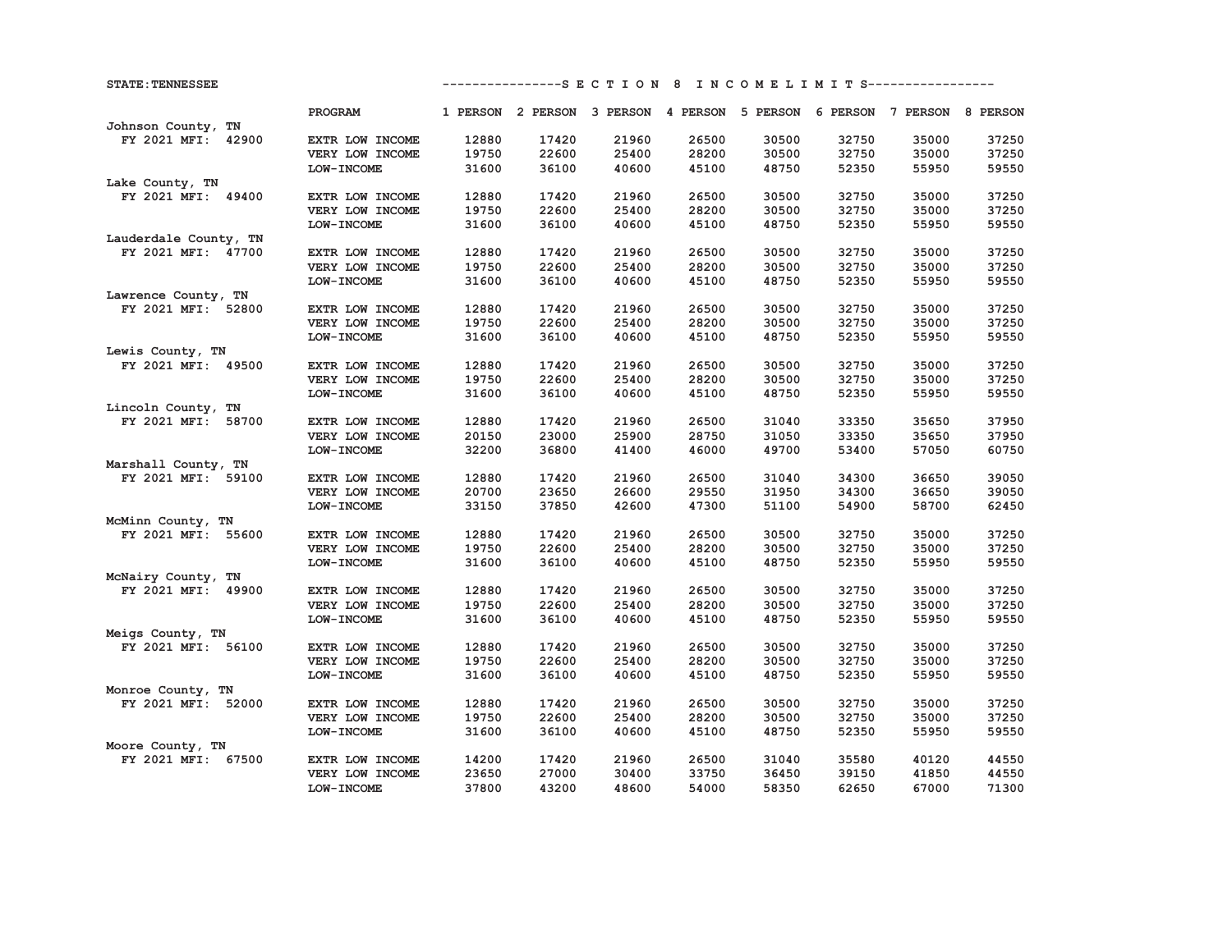| <b>STATE: TENNESSEE</b> |                   |       |       |       |       |       |       | ---------------S E C T I O N 8 I N C O M E L I M I T S----------------- |       |
|-------------------------|-------------------|-------|-------|-------|-------|-------|-------|-------------------------------------------------------------------------|-------|
|                         | PROGRAM           |       |       |       |       |       |       | 1 PERSON 2 PERSON 3 PERSON 4 PERSON 5 PERSON 6 PERSON 7 PERSON 8 PERSON |       |
| Johnson County, TN      |                   |       |       |       |       |       |       |                                                                         |       |
| FY 2021 MFI: 42900      | EXTR LOW INCOME   | 12880 | 17420 | 21960 | 26500 | 30500 | 32750 | 35000                                                                   | 37250 |
|                         | VERY LOW INCOME   | 19750 | 22600 | 25400 | 28200 | 30500 | 32750 | 35000                                                                   | 37250 |
|                         | <b>LOW-INCOME</b> | 31600 | 36100 | 40600 | 45100 | 48750 | 52350 | 55950                                                                   | 59550 |
| Lake County, TN         |                   |       |       |       |       |       |       |                                                                         |       |
| FY 2021 MFI: 49400      | EXTR LOW INCOME   | 12880 | 17420 | 21960 | 26500 | 30500 | 32750 | 35000                                                                   | 37250 |
|                         | VERY LOW INCOME   | 19750 | 22600 | 25400 | 28200 | 30500 | 32750 | 35000                                                                   | 37250 |
|                         | LOW-INCOME        | 31600 | 36100 | 40600 | 45100 | 48750 | 52350 | 55950                                                                   | 59550 |
| Lauderdale County, TN   |                   |       |       |       |       |       |       |                                                                         |       |
| FY 2021 MFI: 47700      | EXTR LOW INCOME   | 12880 | 17420 | 21960 | 26500 | 30500 | 32750 | 35000                                                                   | 37250 |
|                         | VERY LOW INCOME   | 19750 | 22600 | 25400 | 28200 | 30500 | 32750 | 35000                                                                   | 37250 |
|                         | LOW-INCOME        | 31600 | 36100 | 40600 | 45100 | 48750 | 52350 | 55950                                                                   | 59550 |
| Lawrence County, TN     |                   |       |       |       |       |       |       |                                                                         |       |
| FY 2021 MFI: 52800      | EXTR LOW INCOME   | 12880 | 17420 | 21960 | 26500 | 30500 | 32750 | 35000                                                                   | 37250 |
|                         | VERY LOW INCOME   | 19750 | 22600 | 25400 | 28200 | 30500 | 32750 | 35000                                                                   | 37250 |
|                         | LOW-INCOME        | 31600 | 36100 | 40600 | 45100 | 48750 | 52350 | 55950                                                                   | 59550 |
| Lewis County, TN        |                   |       |       |       |       |       |       |                                                                         |       |
| FY 2021 MFI: 49500      | EXTR LOW INCOME   | 12880 | 17420 | 21960 | 26500 | 30500 | 32750 | 35000                                                                   | 37250 |
|                         | VERY LOW INCOME   | 19750 | 22600 | 25400 | 28200 | 30500 | 32750 | 35000                                                                   | 37250 |
|                         | LOW-INCOME        | 31600 | 36100 | 40600 | 45100 | 48750 | 52350 | 55950                                                                   | 59550 |
| Lincoln County, TN      |                   |       |       |       |       |       |       |                                                                         |       |
| FY 2021 MFI: 58700      | EXTR LOW INCOME   | 12880 | 17420 | 21960 | 26500 | 31040 | 33350 | 35650                                                                   | 37950 |
|                         | VERY LOW INCOME   | 20150 | 23000 | 25900 | 28750 | 31050 | 33350 | 35650                                                                   | 37950 |
|                         | <b>LOW-INCOME</b> | 32200 | 36800 | 41400 | 46000 | 49700 | 53400 | 57050                                                                   | 60750 |
| Marshall County, TN     |                   |       |       |       |       |       |       |                                                                         |       |
| FY 2021 MFI: 59100      | EXTR LOW INCOME   | 12880 | 17420 | 21960 | 26500 | 31040 | 34300 | 36650                                                                   | 39050 |
|                         | VERY LOW INCOME   | 20700 | 23650 | 26600 | 29550 | 31950 | 34300 | 36650                                                                   | 39050 |
|                         | LOW-INCOME        | 33150 | 37850 | 42600 | 47300 | 51100 | 54900 | 58700                                                                   | 62450 |
| McMinn County, TN       |                   |       |       |       |       |       |       |                                                                         |       |
| FY 2021 MFI: 55600      | EXTR LOW INCOME   | 12880 | 17420 | 21960 | 26500 | 30500 | 32750 | 35000                                                                   | 37250 |
|                         | VERY LOW INCOME   | 19750 | 22600 | 25400 | 28200 | 30500 | 32750 | 35000                                                                   | 37250 |
|                         | LOW-INCOME        | 31600 | 36100 | 40600 | 45100 | 48750 | 52350 | 55950                                                                   | 59550 |
| McNairy County, TN      |                   |       |       |       |       |       |       |                                                                         |       |
| FY 2021 MFI: 49900      | EXTR LOW INCOME   | 12880 | 17420 | 21960 | 26500 | 30500 | 32750 | 35000                                                                   | 37250 |
|                         | VERY LOW INCOME   | 19750 | 22600 | 25400 | 28200 | 30500 | 32750 | 35000                                                                   | 37250 |
|                         | LOW-INCOME        | 31600 | 36100 | 40600 | 45100 | 48750 | 52350 | 55950                                                                   | 59550 |
| Meigs County, TN        |                   |       |       |       |       |       |       |                                                                         |       |
| FY 2021 MFI: 56100      | EXTR LOW INCOME   | 12880 | 17420 | 21960 | 26500 | 30500 | 32750 | 35000                                                                   | 37250 |
|                         | VERY LOW INCOME   | 19750 | 22600 | 25400 | 28200 | 30500 | 32750 | 35000                                                                   | 37250 |
|                         | LOW-INCOME        | 31600 | 36100 | 40600 | 45100 | 48750 | 52350 | 55950                                                                   | 59550 |
| Monroe County, TN       |                   |       |       |       |       |       |       |                                                                         |       |
| FY 2021 MFI: 52000      | EXTR LOW INCOME   | 12880 | 17420 | 21960 | 26500 | 30500 | 32750 | 35000                                                                   | 37250 |
|                         | VERY LOW INCOME   | 19750 | 22600 | 25400 | 28200 | 30500 | 32750 | 35000                                                                   | 37250 |
|                         | <b>LOW-INCOME</b> | 31600 | 36100 | 40600 | 45100 | 48750 | 52350 | 55950                                                                   | 59550 |
| Moore County, TN        |                   |       |       |       |       |       |       |                                                                         |       |
| FY 2021 MFI: 67500      | EXTR LOW INCOME   | 14200 | 17420 | 21960 | 26500 | 31040 | 35580 | 40120                                                                   | 44550 |
|                         | VERY LOW INCOME   | 23650 | 27000 | 30400 | 33750 | 36450 | 39150 | 41850                                                                   | 44550 |
|                         | LOW-INCOME        | 37800 | 43200 | 48600 | 54000 | 58350 | 62650 | 67000                                                                   | 71300 |
|                         |                   |       |       |       |       |       |       |                                                                         |       |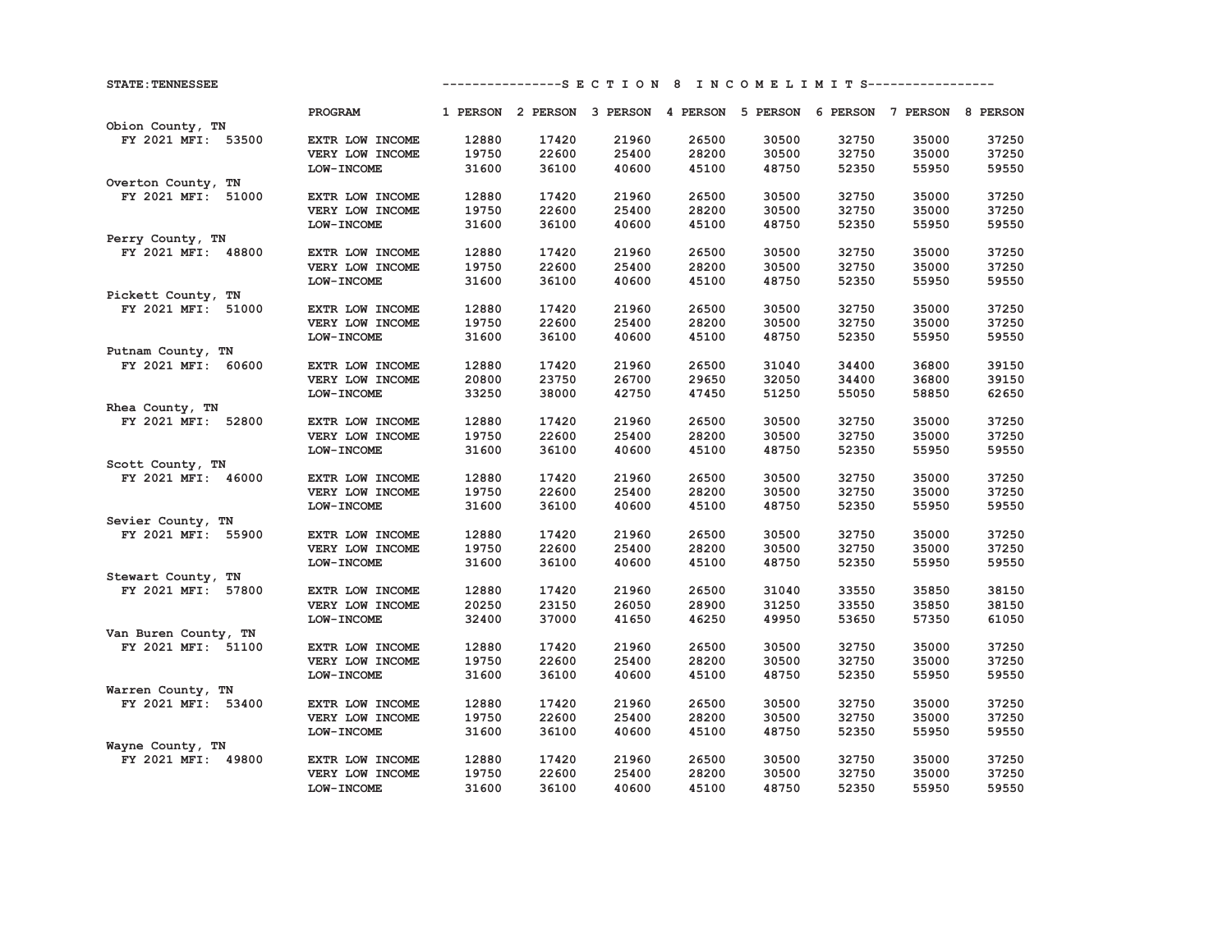| <b>STATE: TENNESSEE</b> |                 |                |                | ---------------S E C T I O N 8 I N C O M E L I M I T S----------------- |                |                |                |                |                |
|-------------------------|-----------------|----------------|----------------|-------------------------------------------------------------------------|----------------|----------------|----------------|----------------|----------------|
|                         | PROGRAM         |                |                | 1 PERSON 2 PERSON 3 PERSON 4 PERSON 5 PERSON 6 PERSON 7 PERSON 8 PERSON |                |                |                |                |                |
| Obion County, TN        |                 |                |                |                                                                         |                |                |                |                |                |
| FY 2021 MFI: 53500      | EXTR LOW INCOME | 12880          | 17420          | 21960                                                                   | 26500          | 30500          | 32750          | 35000          | 37250          |
|                         | VERY LOW INCOME | 19750          | 22600          | 25400                                                                   | 28200          | 30500          | 32750          | 35000          | 37250          |
|                         | LOW-INCOME      | 31600          | 36100          | 40600                                                                   | 45100          | 48750          | 52350          | 55950          | 59550          |
| Overton County, TN      |                 |                |                |                                                                         |                |                |                |                |                |
| FY 2021 MFI: 51000      | EXTR LOW INCOME | 12880          | 17420          | 21960                                                                   | 26500          | 30500          | 32750          | 35000          | 37250          |
|                         | VERY LOW INCOME | 19750          | 22600          | 25400                                                                   | 28200          | 30500          | 32750          | 35000          | 37250          |
|                         | LOW-INCOME      | 31600          | 36100          | 40600                                                                   | 45100          | 48750          | 52350          | 55950          | 59550          |
| Perry County, TN        |                 |                |                |                                                                         |                |                |                |                |                |
| FY 2021 MFI: 48800      | EXTR LOW INCOME | 12880          | 17420          | 21960                                                                   | 26500          | 30500          | 32750          | 35000          | 37250          |
|                         | VERY LOW INCOME | 19750          | 22600          | 25400                                                                   | 28200          | 30500          | 32750          | 35000          | 37250          |
|                         | LOW-INCOME      | 31600          | 36100          | 40600                                                                   | 45100          | 48750          | 52350          | 55950          | 59550          |
| Pickett County, TN      |                 |                |                |                                                                         |                |                |                |                |                |
| FY 2021 MFI: 51000      | EXTR LOW INCOME | 12880          | 17420          | 21960                                                                   | 26500          | 30500          | 32750          | 35000          | 37250          |
|                         | VERY LOW INCOME | 19750          | 22600          | 25400                                                                   | 28200          | 30500          | 32750          | 35000          | 37250          |
|                         | LOW-INCOME      | 31600          | 36100          | 40600                                                                   | 45100          | 48750          | 52350          | 55950          | 59550          |
| Putnam County, TN       |                 |                |                |                                                                         |                |                |                |                |                |
| FY 2021 MFI: 60600      | EXTR LOW INCOME | 12880          | 17420          | 21960                                                                   | 26500          | 31040          | 34400          | 36800          | 39150          |
|                         | VERY LOW INCOME | 20800          | 23750          | 26700                                                                   | 29650          | 32050          | 34400          | 36800          | 39150          |
|                         | LOW-INCOME      | 33250          | 38000          | 42750                                                                   | 47450          | 51250          | 55050          | 58850          | 62650          |
| Rhea County, TN         |                 |                |                |                                                                         |                |                |                |                |                |
| FY 2021 MFI: 52800      | EXTR LOW INCOME | 12880          | 17420          | 21960                                                                   | 26500          | 30500          | 32750          | 35000          | 37250          |
|                         | VERY LOW INCOME | 19750          | 22600          | 25400                                                                   | 28200          | 30500          | 32750          | 35000          | 37250          |
|                         | LOW-INCOME      | 31600          | 36100          | 40600                                                                   | 45100          | 48750          | 52350          | 55950          | 59550          |
| Scott County, TN        |                 |                |                |                                                                         |                |                |                |                |                |
| FY 2021 MFI: 46000      | EXTR LOW INCOME | 12880          | 17420          | 21960                                                                   | 26500          | 30500          | 32750          | 35000          | 37250          |
|                         | VERY LOW INCOME | 19750          | 22600          | 25400                                                                   | 28200          | 30500          | 32750          | 35000          | 37250          |
|                         | LOW-INCOME      | 31600          | 36100          | 40600                                                                   | 45100          | 48750          | 52350          | 55950          | 59550          |
| Sevier County, TN       |                 |                |                |                                                                         |                |                |                |                |                |
| FY 2021 MFI: 55900      | EXTR LOW INCOME | 12880          | 17420<br>22600 | 21960                                                                   | 26500          | 30500<br>30500 | 32750<br>32750 | 35000          | 37250<br>37250 |
|                         | VERY LOW INCOME | 19750<br>31600 | 36100          | 25400<br>40600                                                          | 28200<br>45100 | 48750          | 52350          | 35000<br>55950 | 59550          |
| Stewart County, TN      | LOW-INCOME      |                |                |                                                                         |                |                |                |                |                |
| FY 2021 MFI: 57800      | EXTR LOW INCOME | 12880          | 17420          | 21960                                                                   | 26500          | 31040          | 33550          | 35850          | 38150          |
|                         | VERY LOW INCOME | 20250          | 23150          | 26050                                                                   | 28900          | 31250          | 33550          | 35850          | 38150          |
|                         | LOW-INCOME      | 32400          | 37000          | 41650                                                                   | 46250          | 49950          | 53650          | 57350          | 61050          |
| Van Buren County, TN    |                 |                |                |                                                                         |                |                |                |                |                |
| FY 2021 MFI: 51100      | EXTR LOW INCOME | 12880          | 17420          | 21960                                                                   | 26500          | 30500          | 32750          | 35000          | 37250          |
|                         | VERY LOW INCOME | 19750          | 22600          | 25400                                                                   | 28200          | 30500          | 32750          | 35000          | 37250          |
|                         | LOW-INCOME      | 31600          | 36100          | 40600                                                                   | 45100          | 48750          | 52350          | 55950          | 59550          |
| Warren County, TN       |                 |                |                |                                                                         |                |                |                |                |                |
| FY 2021 MFI: 53400      | EXTR LOW INCOME | 12880          | 17420          | 21960                                                                   | 26500          | 30500          | 32750          | 35000          | 37250          |
|                         | VERY LOW INCOME | 19750          | 22600          | 25400                                                                   | 28200          | 30500          | 32750          | 35000          | 37250          |
|                         | LOW-INCOME      | 31600          | 36100          | 40600                                                                   | 45100          | 48750          | 52350          | 55950          | 59550          |
| Wayne County, TN        |                 |                |                |                                                                         |                |                |                |                |                |
| FY 2021 MFI: 49800      | EXTR LOW INCOME | 12880          | 17420          | 21960                                                                   | 26500          | 30500          | 32750          | 35000          | 37250          |
|                         | VERY LOW INCOME | 19750          | 22600          | 25400                                                                   | 28200          | 30500          | 32750          | 35000          | 37250          |
|                         | LOW-INCOME      | 31600          | 36100          | 40600                                                                   | 45100          | 48750          | 52350          | 55950          | 59550          |